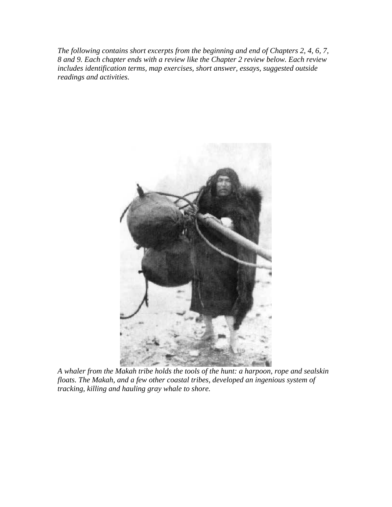*The following contains short excerpts from the beginning and end of Chapters 2, 4, 6, 7, 8 and 9. Each chapter ends with a review like the Chapter 2 review below. Each review includes identification terms, map exercises, short answer, essays, suggested outside readings and activities.* 



*A whaler from the Makah tribe holds the tools of the hunt: a harpoon, rope and sealskin floats. The Makah, and a few other coastal tribes, developed an ingenious system of tracking, killing and hauling gray whale to shore.*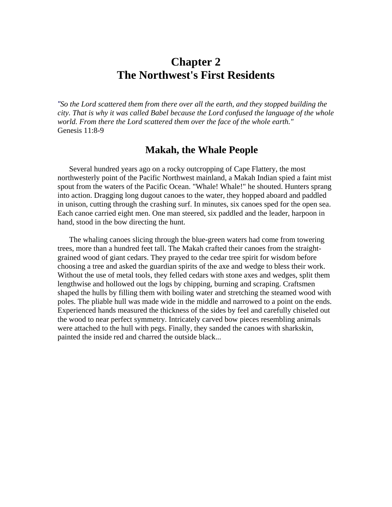### **Chapter 2 The Northwest's First Residents**

*"So the Lord scattered them from there over all the earth, and they stopped building the city. That is why it was called Babel because the Lord confused the language of the whole world. From there the Lord scattered them over the face of the whole earth."* Genesis 11:8-9

### **Makah, the Whale People**

Several hundred years ago on a rocky outcropping of Cape Flattery, the most northwesterly point of the Pacific Northwest mainland, a Makah Indian spied a faint mist spout from the waters of the Pacific Ocean. "Whale! Whale!" he shouted. Hunters sprang into action. Dragging long dugout canoes to the water, they hopped aboard and paddled in unison, cutting through the crashing surf. In minutes, six canoes sped for the open sea. Each canoe carried eight men. One man steered, six paddled and the leader, harpoon in hand, stood in the bow directing the hunt.

The whaling canoes slicing through the blue-green waters had come from towering trees, more than a hundred feet tall. The Makah crafted their canoes from the straightgrained wood of giant cedars. They prayed to the cedar tree spirit for wisdom before choosing a tree and asked the guardian spirits of the axe and wedge to bless their work. Without the use of metal tools, they felled cedars with stone axes and wedges, split them lengthwise and hollowed out the logs by chipping, burning and scraping. Craftsmen shaped the hulls by filling them with boiling water and stretching the steamed wood with poles. The pliable hull was made wide in the middle and narrowed to a point on the ends. Experienced hands measured the thickness of the sides by feel and carefully chiseled out the wood to near perfect symmetry. Intricately carved bow pieces resembling animals were attached to the hull with pegs. Finally, they sanded the canoes with sharkskin, painted the inside red and charred the outside black...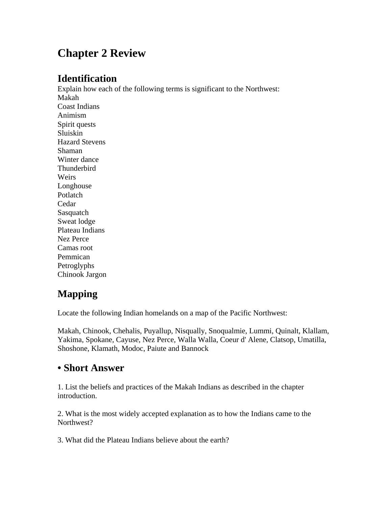# **Chapter 2 Review**

### **Identification**

Explain how each of the following terms is significant to the Northwest: Makah Coast Indians Animism Spirit quests Sluiskin Hazard Stevens Shaman Winter dance Thunderbird Weirs Longhouse Potlatch Cedar Sasquatch Sweat lodge Plateau Indians Nez Perce Camas root Pemmican Petroglyphs

# Chinook Jargon

### **Mapping**

Locate the following Indian homelands on a map of the Pacific Northwest:

Makah, Chinook, Chehalis, Puyallup, Nisqually, Snoqualmie, Lummi, Quinalt, Klallam, Yakima, Spokane, Cayuse, Nez Perce, Walla Walla, Coeur d' Alene, Clatsop, Umatilla, Shoshone, Klamath, Modoc, Paiute and Bannock

### **• Short Answer**

1. List the beliefs and practices of the Makah Indians as described in the chapter introduction.

2. What is the most widely accepted explanation as to how the Indians came to the Northwest?

3. What did the Plateau Indians believe about the earth?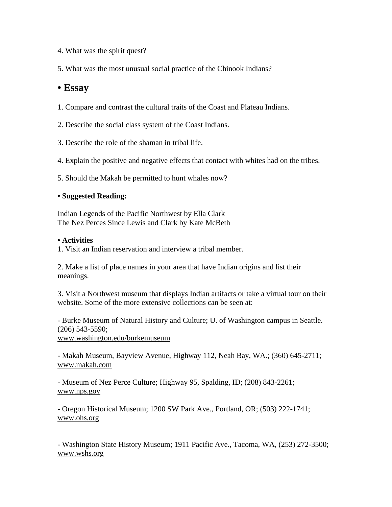- 4. What was the spirit quest?
- 5. What was the most unusual social practice of the Chinook Indians?

### **• Essay**

- 1. Compare and contrast the cultural traits of the Coast and Plateau Indians.
- 2. Describe the social class system of the Coast Indians.
- 3. Describe the role of the shaman in tribal life.
- 4. Explain the positive and negative effects that contact with whites had on the tribes.
- 5. Should the Makah be permitted to hunt whales now?

#### **• Suggested Reading:**

Indian Legends of the Pacific Northwest by Ella Clark The Nez Perces Since Lewis and Clark by Kate McBeth

#### **• Activities**

1. Visit an Indian reservation and interview a tribal member.

2. Make a list of place names in your area that have Indian origins and list their meanings.

3. Visit a Northwest museum that displays Indian artifacts or take a virtual tour on their website. Some of the more extensive collections can be seen at:

- Burke Museum of Natural History and Culture; U. of Washington campus in Seattle. (206) 543-5590; www.washington.edu/burkemuseum

- Makah Museum, Bayview Avenue, Highway 112, Neah Bay, WA.; (360) 645-2711; www.makah.com

- Museum of Nez Perce Culture; Highway 95, Spalding, ID; (208) 843-2261; www.nps.gov

- Oregon Historical Museum; 1200 SW Park Ave., Portland, OR; (503) 222-1741; www.ohs.org

- Washington State History Museum; 1911 Pacific Ave., Tacoma, WA, (253) 272-3500; www.wshs.org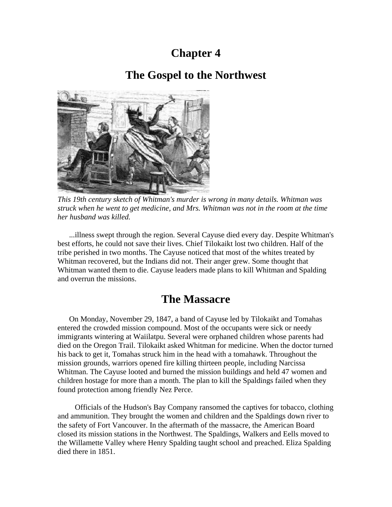### **Chapter 4**

### **The Gospel to the Northwest**



*This 19th century sketch of Whitman's murder is wrong in many details. Whitman was struck when he went to get medicine, and Mrs. Whitman was not in the room at the time her husband was killed.*

...illness swept through the region. Several Cayuse died every day. Despite Whitman's best efforts, he could not save their lives. Chief Tilokaikt lost two children. Half of the tribe perished in two months. The Cayuse noticed that most of the whites treated by Whitman recovered, but the Indians did not. Their anger grew. Some thought that Whitman wanted them to die. Cayuse leaders made plans to kill Whitman and Spalding and overrun the missions.

### **The Massacre**

On Monday, November 29, 1847, a band of Cayuse led by Tilokaikt and Tomahas entered the crowded mission compound. Most of the occupants were sick or needy immigrants wintering at Waiilatpu. Several were orphaned children whose parents had died on the Oregon Trail. Tilokaikt asked Whitman for medicine. When the doctor turned his back to get it, Tomahas struck him in the head with a tomahawk. Throughout the mission grounds, warriors opened fire killing thirteen people, including Narcissa Whitman. The Cayuse looted and burned the mission buildings and held 47 women and children hostage for more than a month. The plan to kill the Spaldings failed when they found protection among friendly Nez Perce.

 Officials of the Hudson's Bay Company ransomed the captives for tobacco, clothing and ammunition. They brought the women and children and the Spaldings down river to the safety of Fort Vancouver. In the aftermath of the massacre, the American Board closed its mission stations in the Northwest. The Spaldings, Walkers and Eells moved to the Willamette Valley where Henry Spalding taught school and preached. Eliza Spalding died there in 1851.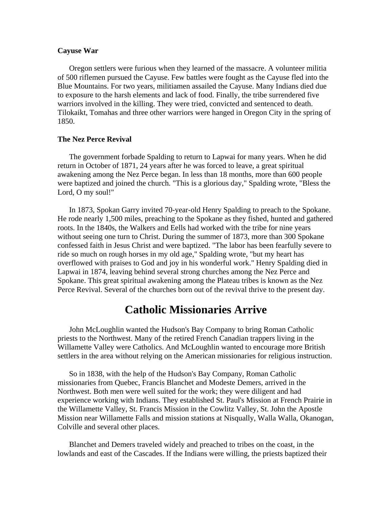#### **Cayuse War**

Oregon settlers were furious when they learned of the massacre. A volunteer militia of 500 riflemen pursued the Cayuse. Few battles were fought as the Cayuse fled into the Blue Mountains. For two years, militiamen assailed the Cayuse. Many Indians died due to exposure to the harsh elements and lack of food. Finally, the tribe surrendered five warriors involved in the killing. They were tried, convicted and sentenced to death. Tilokaikt, Tomahas and three other warriors were hanged in Oregon City in the spring of 1850.

#### **The Nez Perce Revival**

The government forbade Spalding to return to Lapwai for many years. When he did return in October of 1871, 24 years after he was forced to leave, a great spiritual awakening among the Nez Perce began. In less than 18 months, more than 600 people were baptized and joined the church. "This is a glorious day," Spalding wrote, "Bless the Lord, O my soul!"

In 1873, Spokan Garry invited 70-year-old Henry Spalding to preach to the Spokane. He rode nearly 1,500 miles, preaching to the Spokane as they fished, hunted and gathered roots. In the 1840s, the Walkers and Eells had worked with the tribe for nine years without seeing one turn to Christ. During the summer of 1873, more than 300 Spokane confessed faith in Jesus Christ and were baptized. "The labor has been fearfully severe to ride so much on rough horses in my old age," Spalding wrote, "but my heart has overflowed with praises to God and joy in his wonderful work." Henry Spalding died in Lapwai in 1874, leaving behind several strong churches among the Nez Perce and Spokane. This great spiritual awakening among the Plateau tribes is known as the Nez Perce Revival. Several of the churches born out of the revival thrive to the present day.

### **Catholic Missionaries Arrive**

John McLoughlin wanted the Hudson's Bay Company to bring Roman Catholic priests to the Northwest. Many of the retired French Canadian trappers living in the Willamette Valley were Catholics. And McLoughlin wanted to encourage more British settlers in the area without relying on the American missionaries for religious instruction.

So in 1838, with the help of the Hudson's Bay Company, Roman Catholic missionaries from Quebec, Francis Blanchet and Modeste Demers, arrived in the Northwest. Both men were well suited for the work; they were diligent and had experience working with Indians. They established St. Paul's Mission at French Prairie in the Willamette Valley, St. Francis Mission in the Cowlitz Valley, St. John the Apostle Mission near Willamette Falls and mission stations at Nisqually, Walla Walla, Okanogan, Colville and several other places.

Blanchet and Demers traveled widely and preached to tribes on the coast, in the lowlands and east of the Cascades. If the Indians were willing, the priests baptized their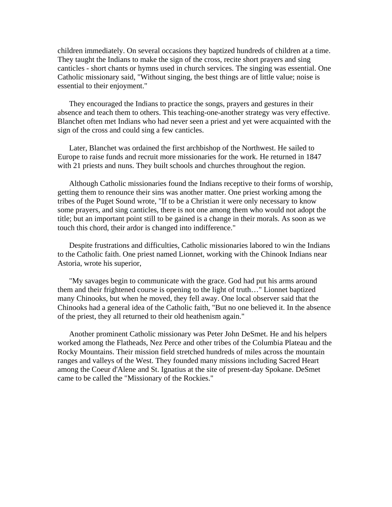children immediately. On several occasions they baptized hundreds of children at a time. They taught the Indians to make the sign of the cross, recite short prayers and sing canticles - short chants or hymns used in church services. The singing was essential. One Catholic missionary said, "Without singing, the best things are of little value; noise is essential to their enjoyment."

They encouraged the Indians to practice the songs, prayers and gestures in their absence and teach them to others. This teaching-one-another strategy was very effective. Blanchet often met Indians who had never seen a priest and yet were acquainted with the sign of the cross and could sing a few canticles.

Later, Blanchet was ordained the first archbishop of the Northwest. He sailed to Europe to raise funds and recruit more missionaries for the work. He returned in 1847 with 21 priests and nuns. They built schools and churches throughout the region.

Although Catholic missionaries found the Indians receptive to their forms of worship, getting them to renounce their sins was another matter. One priest working among the tribes of the Puget Sound wrote, "If to be a Christian it were only necessary to know some prayers, and sing canticles, there is not one among them who would not adopt the title; but an important point still to be gained is a change in their morals. As soon as we touch this chord, their ardor is changed into indifference."

Despite frustrations and difficulties, Catholic missionaries labored to win the Indians to the Catholic faith. One priest named Lionnet, working with the Chinook Indians near Astoria, wrote his superior,

"My savages begin to communicate with the grace. God had put his arms around them and their frightened course is opening to the light of truth…" Lionnet baptized many Chinooks, but when he moved, they fell away. One local observer said that the Chinooks had a general idea of the Catholic faith, "But no one believed it. In the absence of the priest, they all returned to their old heathenism again."

Another prominent Catholic missionary was Peter John DeSmet. He and his helpers worked among the Flatheads, Nez Perce and other tribes of the Columbia Plateau and the Rocky Mountains. Their mission field stretched hundreds of miles across the mountain ranges and valleys of the West. They founded many missions including Sacred Heart among the Coeur d'Alene and St. Ignatius at the site of present-day Spokane. DeSmet came to be called the "Missionary of the Rockies."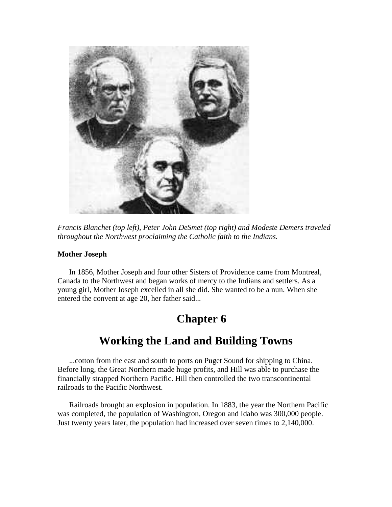

*Francis Blanchet (top left), Peter John DeSmet (top right) and Modeste Demers traveled throughout the Northwest proclaiming the Catholic faith to the Indians.* 

#### **Mother Joseph**

In 1856, Mother Joseph and four other Sisters of Providence came from Montreal, Canada to the Northwest and began works of mercy to the Indians and settlers. As a young girl, Mother Joseph excelled in all she did. She wanted to be a nun. When she entered the convent at age 20, her father said...

# **Chapter 6**

### **Working the Land and Building Towns**

...cotton from the east and south to ports on Puget Sound for shipping to China. Before long, the Great Northern made huge profits, and Hill was able to purchase the financially strapped Northern Pacific. Hill then controlled the two transcontinental railroads to the Pacific Northwest.

Railroads brought an explosion in population. In 1883, the year the Northern Pacific was completed, the population of Washington, Oregon and Idaho was 300,000 people. Just twenty years later, the population had increased over seven times to 2,140,000.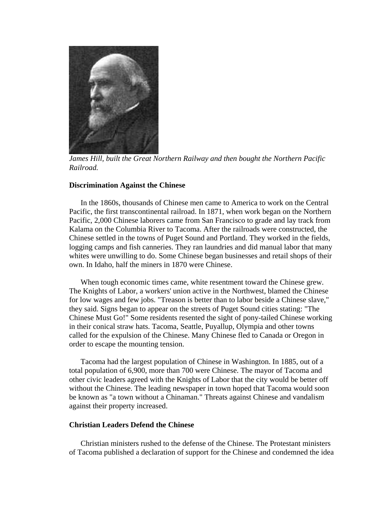

*James Hill, built the Great Northern Railway and then bought the Northern Pacific Railroad.* 

#### **Discrimination Against the Chinese**

In the 1860s, thousands of Chinese men came to America to work on the Central Pacific, the first transcontinental railroad. In 1871, when work began on the Northern Pacific, 2,000 Chinese laborers came from San Francisco to grade and lay track from Kalama on the Columbia River to Tacoma. After the railroads were constructed, the Chinese settled in the towns of Puget Sound and Portland. They worked in the fields, logging camps and fish canneries. They ran laundries and did manual labor that many whites were unwilling to do. Some Chinese began businesses and retail shops of their own. In Idaho, half the miners in 1870 were Chinese.

When tough economic times came, white resentment toward the Chinese grew. The Knights of Labor, a workers' union active in the Northwest, blamed the Chinese for low wages and few jobs. "Treason is better than to labor beside a Chinese slave," they said. Signs began to appear on the streets of Puget Sound cities stating: "The Chinese Must Go!" Some residents resented the sight of pony-tailed Chinese working in their conical straw hats. Tacoma, Seattle, Puyallup, Olympia and other towns called for the expulsion of the Chinese. Many Chinese fled to Canada or Oregon in order to escape the mounting tension.

Tacoma had the largest population of Chinese in Washington. In 1885, out of a total population of 6,900, more than 700 were Chinese. The mayor of Tacoma and other civic leaders agreed with the Knights of Labor that the city would be better off without the Chinese. The leading newspaper in town hoped that Tacoma would soon be known as "a town without a Chinaman." Threats against Chinese and vandalism against their property increased.

#### **Christian Leaders Defend the Chinese**

Christian ministers rushed to the defense of the Chinese. The Protestant ministers of Tacoma published a declaration of support for the Chinese and condemned the idea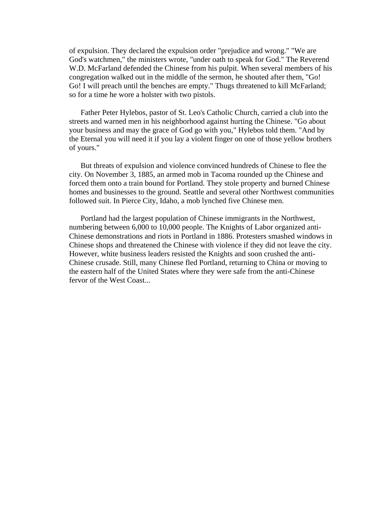of expulsion. They declared the expulsion order "prejudice and wrong." "We are God's watchmen," the ministers wrote, "under oath to speak for God." The Reverend W.D. McFarland defended the Chinese from his pulpit. When several members of his congregation walked out in the middle of the sermon, he shouted after them, "Go! Go! I will preach until the benches are empty." Thugs threatened to kill McFarland; so for a time he wore a holster with two pistols.

Father Peter Hylebos, pastor of St. Leo's Catholic Church, carried a club into the streets and warned men in his neighborhood against hurting the Chinese. "Go about your business and may the grace of God go with you," Hylebos told them. "And by the Eternal you will need it if you lay a violent finger on one of those yellow brothers of yours."

But threats of expulsion and violence convinced hundreds of Chinese to flee the city. On November 3, 1885, an armed mob in Tacoma rounded up the Chinese and forced them onto a train bound for Portland. They stole property and burned Chinese homes and businesses to the ground. Seattle and several other Northwest communities followed suit. In Pierce City, Idaho, a mob lynched five Chinese men.

Portland had the largest population of Chinese immigrants in the Northwest, numbering between 6,000 to 10,000 people. The Knights of Labor organized anti-Chinese demonstrations and riots in Portland in 1886. Protesters smashed windows in Chinese shops and threatened the Chinese with violence if they did not leave the city. However, white business leaders resisted the Knights and soon crushed the anti-Chinese crusade. Still, many Chinese fled Portland, returning to China or moving to the eastern half of the United States where they were safe from the anti-Chinese fervor of the West Coast...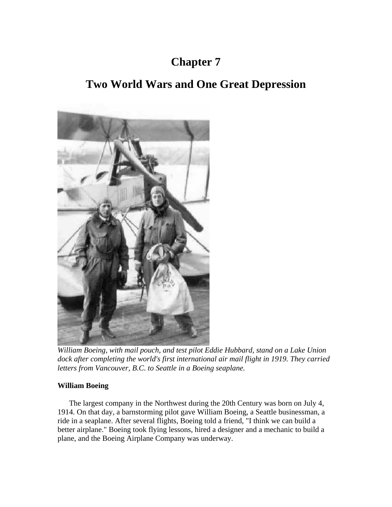## **Chapter 7**

### **Two World Wars and One Great Depression**



*William Boeing, with mail pouch, and test pilot Eddie Hubbard, stand on a Lake Union dock after completing the world's first international air mail flight in 1919. They carried letters from Vancouver, B.C. to Seattle in a Boeing seaplane.* 

### **William Boeing**

The largest company in the Northwest during the 20th Century was born on July 4, 1914. On that day, a barnstorming pilot gave William Boeing, a Seattle businessman, a ride in a seaplane. After several flights, Boeing told a friend, "I think we can build a better airplane." Boeing took flying lessons, hired a designer and a mechanic to build a plane, and the Boeing Airplane Company was underway.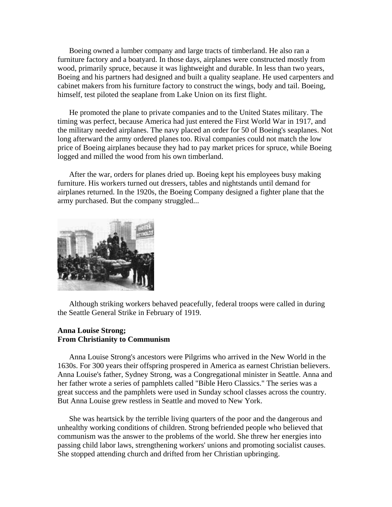Boeing owned a lumber company and large tracts of timberland. He also ran a furniture factory and a boatyard. In those days, airplanes were constructed mostly from wood, primarily spruce, because it was lightweight and durable. In less than two years, Boeing and his partners had designed and built a quality seaplane. He used carpenters and cabinet makers from his furniture factory to construct the wings, body and tail. Boeing, himself, test piloted the seaplane from Lake Union on its first flight.

He promoted the plane to private companies and to the United States military. The timing was perfect, because America had just entered the First World War in 1917, and the military needed airplanes. The navy placed an order for 50 of Boeing's seaplanes. Not long afterward the army ordered planes too. Rival companies could not match the low price of Boeing airplanes because they had to pay market prices for spruce, while Boeing logged and milled the wood from his own timberland.

After the war, orders for planes dried up. Boeing kept his employees busy making furniture. His workers turned out dressers, tables and nightstands until demand for airplanes returned. In the 1920s, the Boeing Company designed a fighter plane that the army purchased. But the company struggled...



Although striking workers behaved peacefully, federal troops were called in during the Seattle General Strike in February of 1919.

#### **Anna Louise Strong; From Christianity to Communism**

Anna Louise Strong's ancestors were Pilgrims who arrived in the New World in the 1630s. For 300 years their offspring prospered in America as earnest Christian believers. Anna Louise's father, Sydney Strong, was a Congregational minister in Seattle. Anna and her father wrote a series of pamphlets called "Bible Hero Classics." The series was a great success and the pamphlets were used in Sunday school classes across the country. But Anna Louise grew restless in Seattle and moved to New York.

She was heartsick by the terrible living quarters of the poor and the dangerous and unhealthy working conditions of children. Strong befriended people who believed that communism was the answer to the problems of the world. She threw her energies into passing child labor laws, strengthening workers' unions and promoting socialist causes. She stopped attending church and drifted from her Christian upbringing.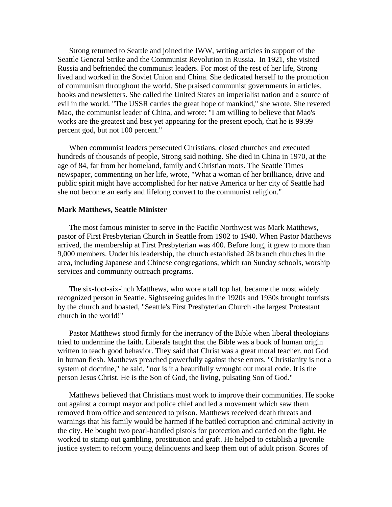Strong returned to Seattle and joined the IWW, writing articles in support of the Seattle General Strike and the Communist Revolution in Russia. In 1921, she visited Russia and befriended the communist leaders. For most of the rest of her life, Strong lived and worked in the Soviet Union and China. She dedicated herself to the promotion of communism throughout the world. She praised communist governments in articles, books and newsletters. She called the United States an imperialist nation and a source of evil in the world. "The USSR carries the great hope of mankind," she wrote. She revered Mao, the communist leader of China, and wrote: "I am willing to believe that Mao's works are the greatest and best yet appearing for the present epoch, that he is 99.99 percent god, but not 100 percent."

When communist leaders persecuted Christians, closed churches and executed hundreds of thousands of people, Strong said nothing. She died in China in 1970, at the age of 84, far from her homeland, family and Christian roots. The Seattle Times newspaper, commenting on her life, wrote, "What a woman of her brilliance, drive and public spirit might have accomplished for her native America or her city of Seattle had she not become an early and lifelong convert to the communist religion."

#### **Mark Matthews, Seattle Minister**

The most famous minister to serve in the Pacific Northwest was Mark Matthews, pastor of First Presbyterian Church in Seattle from 1902 to 1940. When Pastor Matthews arrived, the membership at First Presbyterian was 400. Before long, it grew to more than 9,000 members. Under his leadership, the church established 28 branch churches in the area, including Japanese and Chinese congregations, which ran Sunday schools, worship services and community outreach programs.

The six-foot-six-inch Matthews, who wore a tall top hat, became the most widely recognized person in Seattle. Sightseeing guides in the 1920s and 1930s brought tourists by the church and boasted, "Seattle's First Presbyterian Church -the largest Protestant church in the world!"

Pastor Matthews stood firmly for the inerrancy of the Bible when liberal theologians tried to undermine the faith. Liberals taught that the Bible was a book of human origin written to teach good behavior. They said that Christ was a great moral teacher, not God in human flesh. Matthews preached powerfully against these errors. "Christianity is not a system of doctrine," he said, "nor is it a beautifully wrought out moral code. It is the person Jesus Christ. He is the Son of God, the living, pulsating Son of God."

Matthews believed that Christians must work to improve their communities. He spoke out against a corrupt mayor and police chief and led a movement which saw them removed from office and sentenced to prison. Matthews received death threats and warnings that his family would be harmed if he battled corruption and criminal activity in the city. He bought two pearl-handled pistols for protection and carried on the fight. He worked to stamp out gambling, prostitution and graft. He helped to establish a juvenile justice system to reform young delinquents and keep them out of adult prison. Scores of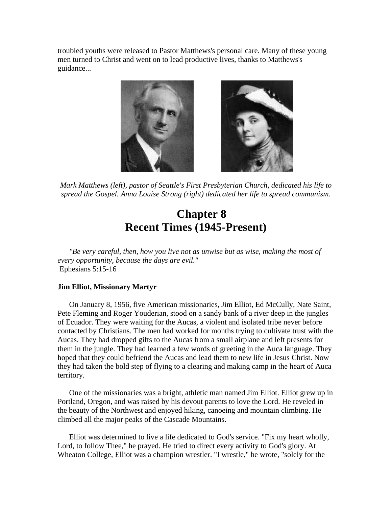troubled youths were released to Pastor Matthews's personal care. Many of these young men turned to Christ and went on to lead productive lives, thanks to Matthews's guidance...



*Mark Matthews (left), pastor of Seattle's First Presbyterian Church, dedicated his life to spread the Gospel. Anna Louise Strong (right) dedicated her life to spread communism.* 

### **Chapter 8 Recent Times (1945-Present)**

*"Be very careful, then, how you live not as unwise but as wise, making the most of every opportunity, because the days are evil."*  Ephesians 5:15-16

#### **Jim Elliot, Missionary Martyr**

On January 8, 1956, five American missionaries, Jim Elliot, Ed McCully, Nate Saint, Pete Fleming and Roger Youderian, stood on a sandy bank of a river deep in the jungles of Ecuador. They were waiting for the Aucas, a violent and isolated tribe never before contacted by Christians. The men had worked for months trying to cultivate trust with the Aucas. They had dropped gifts to the Aucas from a small airplane and left presents for them in the jungle. They had learned a few words of greeting in the Auca language. They hoped that they could befriend the Aucas and lead them to new life in Jesus Christ. Now they had taken the bold step of flying to a clearing and making camp in the heart of Auca territory.

One of the missionaries was a bright, athletic man named Jim Elliot. Elliot grew up in Portland, Oregon, and was raised by his devout parents to love the Lord. He reveled in the beauty of the Northwest and enjoyed hiking, canoeing and mountain climbing. He climbed all the major peaks of the Cascade Mountains.

Elliot was determined to live a life dedicated to God's service. "Fix my heart wholly, Lord, to follow Thee," he prayed. He tried to direct every activity to God's glory. At Wheaton College, Elliot was a champion wrestler. "I wrestle," he wrote, "solely for the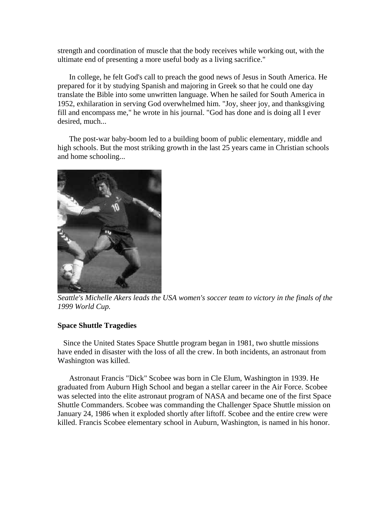strength and coordination of muscle that the body receives while working out, with the ultimate end of presenting a more useful body as a living sacrifice."

In college, he felt God's call to preach the good news of Jesus in South America. He prepared for it by studying Spanish and majoring in Greek so that he could one day translate the Bible into some unwritten language. When he sailed for South America in 1952, exhilaration in serving God overwhelmed him. "Joy, sheer joy, and thanksgiving fill and encompass me," he wrote in his journal. "God has done and is doing all I ever desired, much...

The post-war baby-boom led to a building boom of public elementary, middle and high schools. But the most striking growth in the last 25 years came in Christian schools and home schooling...



*Seattle's Michelle Akers leads the USA women's soccer team to victory in the finals of the 1999 World Cup.* 

#### **Space Shuttle Tragedies**

 Since the United States Space Shuttle program began in 1981, two shuttle missions have ended in disaster with the loss of all the crew. In both incidents, an astronaut from Washington was killed.

Astronaut Francis "Dick" Scobee was born in Cle Elum, Washington in 1939. He graduated from Auburn High School and began a stellar career in the Air Force. Scobee was selected into the elite astronaut program of NASA and became one of the first Space Shuttle Commanders. Scobee was commanding the Challenger Space Shuttle mission on January 24, 1986 when it exploded shortly after liftoff. Scobee and the entire crew were killed. Francis Scobee elementary school in Auburn, Washington, is named in his honor.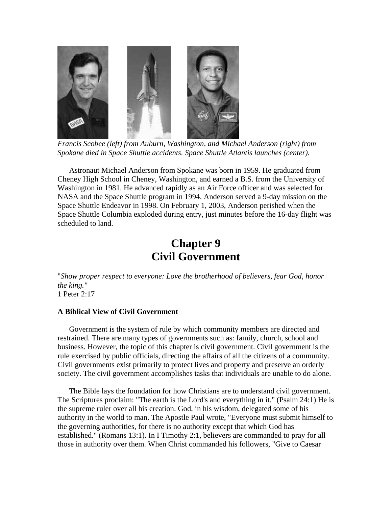

*Francis Scobee (left) from Auburn, Washington, and Michael Anderson (right) from Spokane died in Space Shuttle accidents. Space Shuttle Atlantis launches (center).* 

Astronaut Michael Anderson from Spokane was born in 1959. He graduated from Cheney High School in Cheney, Washington, and earned a B.S. from the University of Washington in 1981. He advanced rapidly as an Air Force officer and was selected for NASA and the Space Shuttle program in 1994. Anderson served a 9-day mission on the Space Shuttle Endeavor in 1998. On February 1, 2003, Anderson perished when the Space Shuttle Columbia exploded during entry, just minutes before the 16-day flight was scheduled to land.

### **Chapter 9 Civil Government**

"*Show proper respect to everyone: Love the brotherhood of believers, fear God, honor the king."*  1 Peter 2:17

#### **A Biblical View of Civil Government**

Government is the system of rule by which community members are directed and restrained. There are many types of governments such as: family, church, school and business. However, the topic of this chapter is civil government. Civil government is the rule exercised by public officials, directing the affairs of all the citizens of a community. Civil governments exist primarily to protect lives and property and preserve an orderly society. The civil government accomplishes tasks that individuals are unable to do alone.

The Bible lays the foundation for how Christians are to understand civil government. The Scriptures proclaim: "The earth is the Lord's and everything in it." (Psalm 24:1) He is the supreme ruler over all his creation. God, in his wisdom, delegated some of his authority in the world to man. The Apostle Paul wrote, "Everyone must submit himself to the governing authorities, for there is no authority except that which God has established." (Romans 13:1). In I Timothy 2:1, believers are commanded to pray for all those in authority over them. When Christ commanded his followers, "Give to Caesar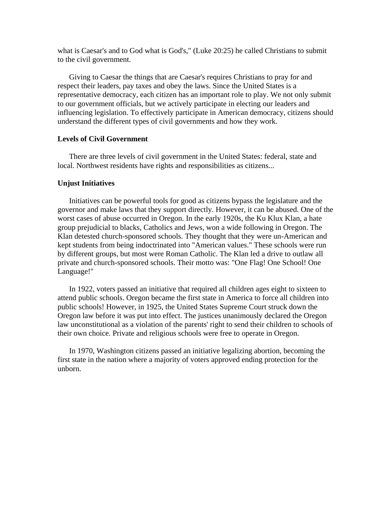what is Caesar's and to God what is God's," (Luke 20:25) he called Christians to submit to the civil government.

Giving to Caesar the things that are Caesar's requires Christians to pray for and respect their leaders, pay taxes and obey the laws. Since the United States is a representative democracy, each citizen has an important role to play. We not only submit to our government officials, but we actively participate in electing our leaders and influencing legislation. To effectively participate in American democracy, citizens should understand the different types of civil governments and how they work.

#### **Levels of Civil Government**

There are three levels of civil government in the United States: federal, state and local. Northwest residents have rights and responsibilities as citizens...

#### **Unjust Initiatives**

Initiatives can be powerful tools for good as citizens bypass the legislature and the governor and make laws that they support directly. However, it can be abused. One of the worst cases of abuse occurred in Oregon. In the early 1920s, the Ku Klux Klan, a hate group prejudicial to blacks, Catholics and Jews, won a wide following in Oregon. The Klan detested church-sponsored schools. They thought that they were un-American and kept students from being indoctrinated into "American values." These schools were run by different groups, but most were Roman Catholic. The Klan led a drive to outlaw all private and church-sponsored schools. Their motto was: "One Flag! One School! One Language!"

In 1922, voters passed an initiative that required all children ages eight to sixteen to attend public schools. Oregon became the first state in America to force all children into public schools! However, in 1925, the United States Supreme Court struck down the Oregon law before it was put into effect. The justices unanimously declared the Oregon law unconstitutional as a violation of the parents' right to send their children to schools of their own choice. Private and religious schools were free to operate in Oregon.

In 1970, Washington citizens passed an initiative legalizing abortion, becoming the first state in the nation where a majority of voters approved ending protection for the unborn.